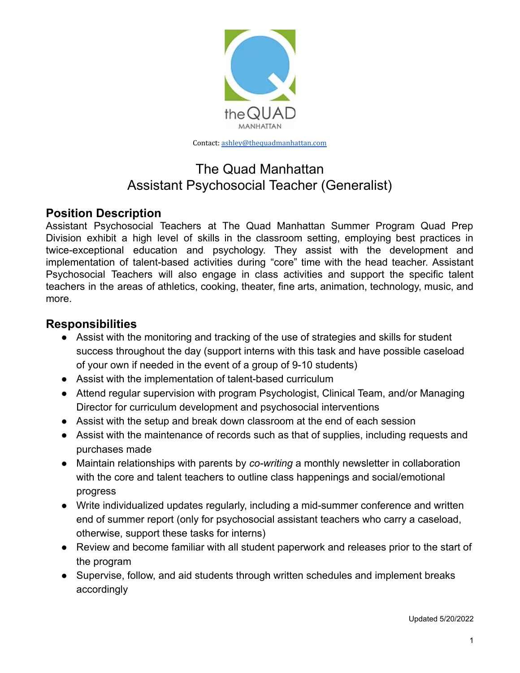

Contact: [ashley@thequadmanhattan.com](mailto:ashley@thequadmanhattan.com)

# The Quad Manhattan Assistant Psychosocial Teacher (Generalist)

## **Position Description**

Assistant Psychosocial Teachers at The Quad Manhattan Summer Program Quad Prep Division exhibit a high level of skills in the classroom setting, employing best practices in twice-exceptional education and psychology. They assist with the development and implementation of talent-based activities during "core" time with the head teacher. Assistant Psychosocial Teachers will also engage in class activities and support the specific talent teachers in the areas of athletics, cooking, theater, fine arts, animation, technology, music, and more.

### **Responsibilities**

- Assist with the monitoring and tracking of the use of strategies and skills for student success throughout the day (support interns with this task and have possible caseload of your own if needed in the event of a group of 9-10 students)
- Assist with the implementation of talent-based curriculum
- Attend regular supervision with program Psychologist, Clinical Team, and/or Managing Director for curriculum development and psychosocial interventions
- Assist with the setup and break down classroom at the end of each session
- Assist with the maintenance of records such as that of supplies, including requests and purchases made
- Maintain relationships with parents by *co-writing* a monthly newsletter in collaboration with the core and talent teachers to outline class happenings and social/emotional progress
- Write individualized updates regularly, including a mid-summer conference and written end of summer report (only for psychosocial assistant teachers who carry a caseload, otherwise, support these tasks for interns)
- Review and become familiar with all student paperwork and releases prior to the start of the program
- Supervise, follow, and aid students through written schedules and implement breaks accordingly